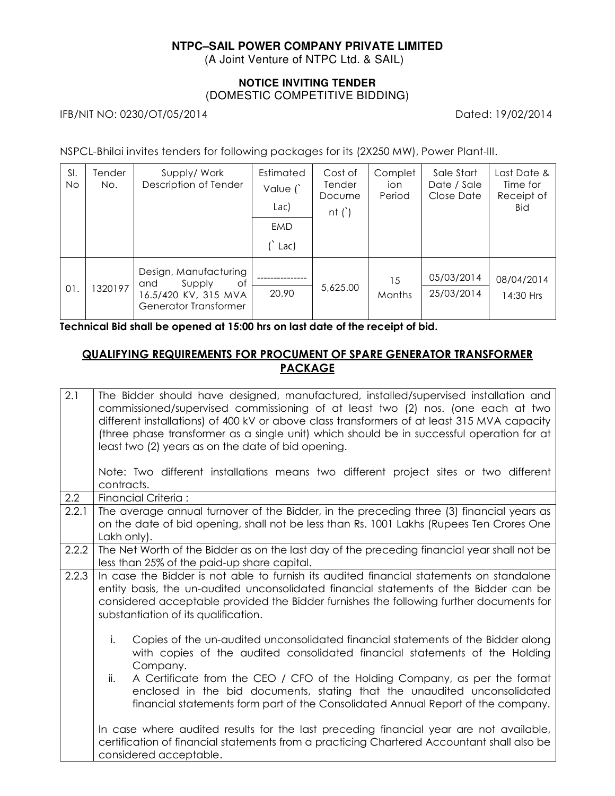# **NTPC–SAIL POWER COMPANY PRIVATE LIMITED**

(A Joint Venture of NTPC Ltd. & SAIL)

### **NOTICE INVITING TENDER**  (DOMESTIC COMPETITIVE BIDDING)

IFB/NIT NO: 0230/OT/05/2014 Dated: 19/02/2014

NSPCL-Bhilai invites tenders for following packages for its (2X250 MW), Power Plant-III.

| SI.<br>No | lender<br>No. | Supply/Work<br>Description of Tender                                                          | Estimated<br>Value (<br>Lac)<br>EMD<br>Lac) | Cost of<br><b>Tender</b><br>Docume<br>nt $()$ | Complet<br>ion<br>Period | Sale Start<br>Date / Sale<br>Close Date | Last Date &<br>Time for<br>Receipt of<br><b>Bid</b> |
|-----------|---------------|-----------------------------------------------------------------------------------------------|---------------------------------------------|-----------------------------------------------|--------------------------|-----------------------------------------|-----------------------------------------------------|
| 01.       | 320197        | Design, Manufacturing<br>Supply<br>of<br>and<br>16.5/420 KV, 315 MVA<br>Generator Transformer | 20.90                                       | 5,625.00                                      | 15<br>Months             | 05/03/2014<br>25/03/2014                | 08/04/2014<br>14:30 Hrs                             |

**Technical Bid shall be opened at 15:00 hrs on last date of the receipt of bid.**

## **QUALIFYING REQUIREMENTS FOR PROCUMENT OF SPARE GENERATOR TRANSFORMER PACKAGE**

| 2.1   | The Bidder should have designed, manufactured, installed/supervised installation and<br>commissioned/supervised commissioning of at least two (2) nos. (one each at two<br>different installations) of 400 kV or above class transformers of at least 315 MVA capacity<br>(three phase transformer as a single unit) which should be in successful operation for at<br>least two (2) years as on the date of bid opening.<br>Note: Two different installations means two different project sites or two different<br>contracts. |  |  |  |
|-------|---------------------------------------------------------------------------------------------------------------------------------------------------------------------------------------------------------------------------------------------------------------------------------------------------------------------------------------------------------------------------------------------------------------------------------------------------------------------------------------------------------------------------------|--|--|--|
| 2.2   | Financial Criteria:                                                                                                                                                                                                                                                                                                                                                                                                                                                                                                             |  |  |  |
| 2.2.1 | The average annual turnover of the Bidder, in the preceding three (3) financial years as<br>on the date of bid opening, shall not be less than Rs. 1001 Lakhs (Rupees Ten Crores One<br>Lakh only).                                                                                                                                                                                                                                                                                                                             |  |  |  |
| 2.2.2 | The Net Worth of the Bidder as on the last day of the preceding financial year shall not be<br>less than 25% of the paid-up share capital.                                                                                                                                                                                                                                                                                                                                                                                      |  |  |  |
| 2.2.3 | In case the Bidder is not able to furnish its audited financial statements on standalone<br>entity basis, the un-audited unconsolidated financial statements of the Bidder can be<br>considered acceptable provided the Bidder furnishes the following further documents for<br>substantiation of its qualification.                                                                                                                                                                                                            |  |  |  |
|       | i.<br>Copies of the un-audited unconsolidated financial statements of the Bidder along<br>with copies of the audited consolidated financial statements of the Holding<br>Company.                                                                                                                                                                                                                                                                                                                                               |  |  |  |
|       | A Certificate from the CEO / CFO of the Holding Company, as per the format<br>ii.<br>enclosed in the bid documents, stating that the unaudited unconsolidated<br>financial statements form part of the Consolidated Annual Report of the company.                                                                                                                                                                                                                                                                               |  |  |  |
|       | In case where audited results for the last preceding financial year are not available,<br>certification of financial statements from a practicing Chartered Accountant shall also be<br>considered acceptable.                                                                                                                                                                                                                                                                                                                  |  |  |  |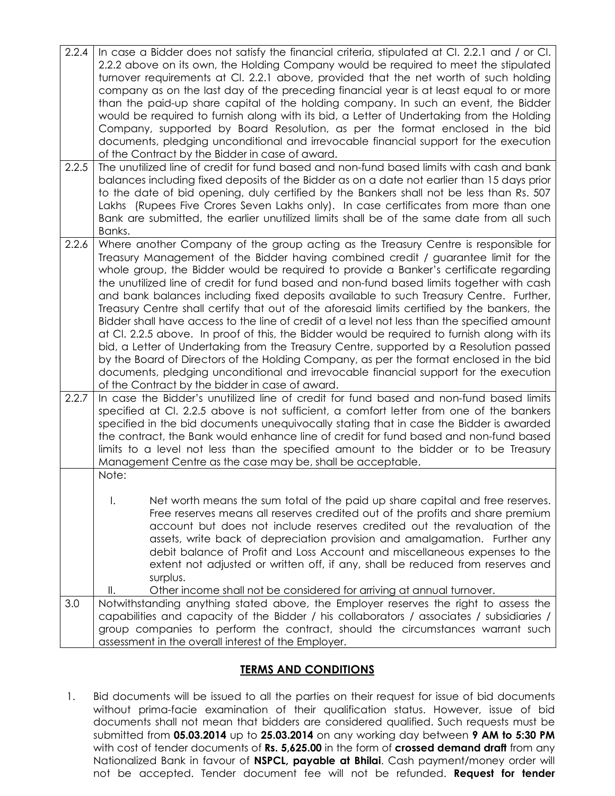| 2.2.4<br>2.2.5 | In case a Bidder does not satisfy the financial criteria, stipulated at Cl. 2.2.1 and / or Cl.<br>2.2.2 above on its own, the Holding Company would be required to meet the stipulated<br>turnover requirements at Cl. 2.2.1 above, provided that the net worth of such holding<br>company as on the last day of the preceding financial year is at least equal to or more<br>than the paid-up share capital of the holding company. In such an event, the Bidder<br>would be required to furnish along with its bid, a Letter of Undertaking from the Holding<br>Company, supported by Board Resolution, as per the format enclosed in the bid<br>documents, pledging unconditional and irrevocable financial support for the execution<br>of the Contract by the Bidder in case of award.<br>The unutilized line of credit for fund based and non-fund based limits with cash and bank<br>balances including fixed deposits of the Bidder as on a date not earlier than 15 days prior                                                                                                     |  |  |  |
|----------------|---------------------------------------------------------------------------------------------------------------------------------------------------------------------------------------------------------------------------------------------------------------------------------------------------------------------------------------------------------------------------------------------------------------------------------------------------------------------------------------------------------------------------------------------------------------------------------------------------------------------------------------------------------------------------------------------------------------------------------------------------------------------------------------------------------------------------------------------------------------------------------------------------------------------------------------------------------------------------------------------------------------------------------------------------------------------------------------------|--|--|--|
|                | to the date of bid opening, duly certified by the Bankers shall not be less than Rs. 507<br>Lakhs (Rupees Five Crores Seven Lakhs only). In case certificates from more than one<br>Bank are submitted, the earlier unutilized limits shall be of the same date from all such<br>Banks.                                                                                                                                                                                                                                                                                                                                                                                                                                                                                                                                                                                                                                                                                                                                                                                                     |  |  |  |
| 2.2.6          | Where another Company of the group acting as the Treasury Centre is responsible for<br>Treasury Management of the Bidder having combined credit / guarantee limit for the<br>whole group, the Bidder would be required to provide a Banker's certificate regarding<br>the unutilized line of credit for fund based and non-fund based limits together with cash<br>and bank balances including fixed deposits available to such Treasury Centre. Further,<br>Treasury Centre shall certify that out of the aforesaid limits certified by the bankers, the<br>Bidder shall have access to the line of credit of a level not less than the specified amount<br>at Cl. 2.2.5 above. In proof of this, the Bidder would be required to furnish along with its<br>bid, a Letter of Undertaking from the Treasury Centre, supported by a Resolution passed<br>by the Board of Directors of the Holding Company, as per the format enclosed in the bid<br>documents, pledging unconditional and irrevocable financial support for the execution<br>of the Contract by the bidder in case of award. |  |  |  |
| 2.2.7          | In case the Bidder's unutilized line of credit for fund based and non-fund based limits<br>specified at Cl. 2.2.5 above is not sufficient, a comfort letter from one of the bankers<br>specified in the bid documents unequivocally stating that in case the Bidder is awarded<br>the contract, the Bank would enhance line of credit for fund based and non-fund based<br>limits to a level not less than the specified amount to the bidder or to be Treasury<br>Management Centre as the case may be, shall be acceptable.<br>Note:                                                                                                                                                                                                                                                                                                                                                                                                                                                                                                                                                      |  |  |  |
|                | $\mathsf{I}$ .<br>Net worth means the sum total of the paid up share capital and free reserves.<br>Free reserves means all reserves credited out of the profits and share premium<br>account but does not include reserves credited out the revaluation of the<br>assets, write back of depreciation provision and amalgamation. Further any<br>debit balance of Profit and Loss Account and miscellaneous expenses to the<br>extent not adjusted or written off, if any, shall be reduced from reserves and<br>surplus.                                                                                                                                                                                                                                                                                                                                                                                                                                                                                                                                                                    |  |  |  |
| 3.0            | Other income shall not be considered for arriving at annual turnover.<br>Ш.<br>Notwithstanding anything stated above, the Employer reserves the right to assess the<br>capabilities and capacity of the Bidder / his collaborators / associates / subsidiaries /<br>group companies to perform the contract, should the circumstances warrant such<br>assessment in the overall interest of the Employer.                                                                                                                                                                                                                                                                                                                                                                                                                                                                                                                                                                                                                                                                                   |  |  |  |

## **TERMS AND CONDITIONS**

1. Bid documents will be issued to all the parties on their request for issue of bid documents without prima-facie examination of their qualification status. However, issue of bid documents shall not mean that bidders are considered qualified. Such requests must be submitted from **05.03.2014** up to **25.03.2014** on any working day between **9 AM to 5:30 PM** with cost of tender documents of **Rs. 5,625.00** in the form of **crossed demand draft** from any Nationalized Bank in favour of **NSPCL, payable at Bhilai**. Cash payment/money order will not be accepted. Tender document fee will not be refunded. **Request for tender**